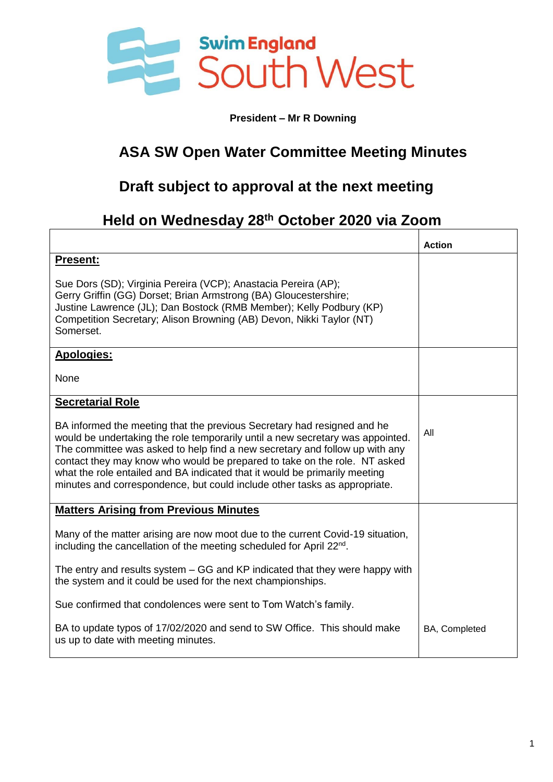

## **President – Mr R Downing**

## **ASA SW Open Water Committee Meeting Minutes**

## **Draft subject to approval at the next meeting**

## **Held on Wednesday 28th October 2020 via Zoom**

|                                                                                                                                                                                                                                                                                                                                                                                                                                                                                  | <b>Action</b> |
|----------------------------------------------------------------------------------------------------------------------------------------------------------------------------------------------------------------------------------------------------------------------------------------------------------------------------------------------------------------------------------------------------------------------------------------------------------------------------------|---------------|
| Present:                                                                                                                                                                                                                                                                                                                                                                                                                                                                         |               |
| Sue Dors (SD); Virginia Pereira (VCP); Anastacia Pereira (AP);<br>Gerry Griffin (GG) Dorset; Brian Armstrong (BA) Gloucestershire;<br>Justine Lawrence (JL); Dan Bostock (RMB Member); Kelly Podbury (KP)<br>Competition Secretary; Alison Browning (AB) Devon, Nikki Taylor (NT)<br>Somerset.                                                                                                                                                                                   |               |
| <b>Apologies:</b>                                                                                                                                                                                                                                                                                                                                                                                                                                                                |               |
| None                                                                                                                                                                                                                                                                                                                                                                                                                                                                             |               |
| <b>Secretarial Role</b>                                                                                                                                                                                                                                                                                                                                                                                                                                                          |               |
| BA informed the meeting that the previous Secretary had resigned and he<br>would be undertaking the role temporarily until a new secretary was appointed.<br>The committee was asked to help find a new secretary and follow up with any<br>contact they may know who would be prepared to take on the role. NT asked<br>what the role entailed and BA indicated that it would be primarily meeting<br>minutes and correspondence, but could include other tasks as appropriate. | All           |
| <b>Matters Arising from Previous Minutes</b>                                                                                                                                                                                                                                                                                                                                                                                                                                     |               |
| Many of the matter arising are now moot due to the current Covid-19 situation,<br>including the cancellation of the meeting scheduled for April 22 <sup>nd</sup> .                                                                                                                                                                                                                                                                                                               |               |
| The entry and results system $-$ GG and KP indicated that they were happy with<br>the system and it could be used for the next championships.                                                                                                                                                                                                                                                                                                                                    |               |
| Sue confirmed that condolences were sent to Tom Watch's family.                                                                                                                                                                                                                                                                                                                                                                                                                  |               |
| BA to update typos of 17/02/2020 and send to SW Office. This should make<br>us up to date with meeting minutes.                                                                                                                                                                                                                                                                                                                                                                  | BA, Completed |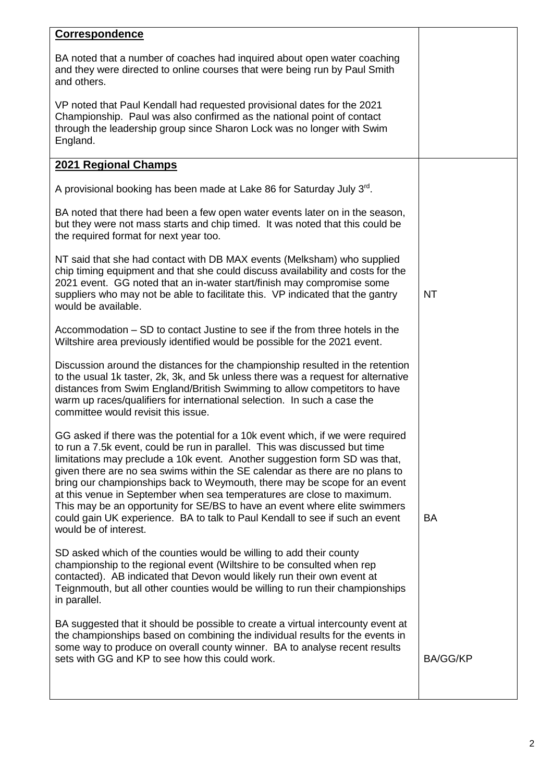| <b>Correspondence</b>                                                                                                                                                                                                                                                                                                                                                                                                                                                                                                                                                                                                                                                    |                 |
|--------------------------------------------------------------------------------------------------------------------------------------------------------------------------------------------------------------------------------------------------------------------------------------------------------------------------------------------------------------------------------------------------------------------------------------------------------------------------------------------------------------------------------------------------------------------------------------------------------------------------------------------------------------------------|-----------------|
| BA noted that a number of coaches had inquired about open water coaching<br>and they were directed to online courses that were being run by Paul Smith<br>and others.                                                                                                                                                                                                                                                                                                                                                                                                                                                                                                    |                 |
| VP noted that Paul Kendall had requested provisional dates for the 2021<br>Championship. Paul was also confirmed as the national point of contact<br>through the leadership group since Sharon Lock was no longer with Swim<br>England.                                                                                                                                                                                                                                                                                                                                                                                                                                  |                 |
| 2021 Regional Champs                                                                                                                                                                                                                                                                                                                                                                                                                                                                                                                                                                                                                                                     |                 |
| A provisional booking has been made at Lake 86 for Saturday July 3rd.                                                                                                                                                                                                                                                                                                                                                                                                                                                                                                                                                                                                    |                 |
| BA noted that there had been a few open water events later on in the season,<br>but they were not mass starts and chip timed. It was noted that this could be<br>the required format for next year too.                                                                                                                                                                                                                                                                                                                                                                                                                                                                  |                 |
| NT said that she had contact with DB MAX events (Melksham) who supplied<br>chip timing equipment and that she could discuss availability and costs for the<br>2021 event. GG noted that an in-water start/finish may compromise some<br>suppliers who may not be able to facilitate this. VP indicated that the gantry<br>would be available.                                                                                                                                                                                                                                                                                                                            | <b>NT</b>       |
| Accommodation – SD to contact Justine to see if the from three hotels in the<br>Wiltshire area previously identified would be possible for the 2021 event.                                                                                                                                                                                                                                                                                                                                                                                                                                                                                                               |                 |
| Discussion around the distances for the championship resulted in the retention<br>to the usual 1k taster, 2k, 3k, and 5k unless there was a request for alternative<br>distances from Swim England/British Swimming to allow competitors to have<br>warm up races/qualifiers for international selection. In such a case the<br>committee would revisit this issue.                                                                                                                                                                                                                                                                                                      |                 |
| GG asked if there was the potential for a 10k event which, if we were required<br>to run a 7.5k event, could be run in parallel. This was discussed but time<br>limitations may preclude a 10k event. Another suggestion form SD was that,<br>given there are no sea swims within the SE calendar as there are no plans to<br>bring our championships back to Weymouth, there may be scope for an event<br>at this venue in September when sea temperatures are close to maximum.<br>This may be an opportunity for SE/BS to have an event where elite swimmers<br>could gain UK experience. BA to talk to Paul Kendall to see if such an event<br>would be of interest. | <b>BA</b>       |
| SD asked which of the counties would be willing to add their county<br>championship to the regional event (Wiltshire to be consulted when rep<br>contacted). AB indicated that Devon would likely run their own event at<br>Teignmouth, but all other counties would be willing to run their championships<br>in parallel.                                                                                                                                                                                                                                                                                                                                               |                 |
| BA suggested that it should be possible to create a virtual intercounty event at<br>the championships based on combining the individual results for the events in<br>some way to produce on overall county winner. BA to analyse recent results<br>sets with GG and KP to see how this could work.                                                                                                                                                                                                                                                                                                                                                                       | <b>BA/GG/KP</b> |
|                                                                                                                                                                                                                                                                                                                                                                                                                                                                                                                                                                                                                                                                          |                 |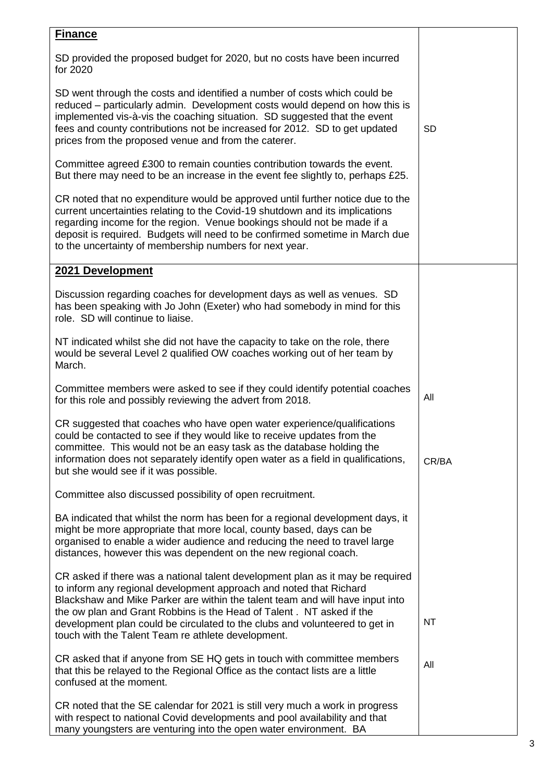| <b>Finance</b>                                                                                                                                                                                                                                                                                                                                                                                                                                     |           |
|----------------------------------------------------------------------------------------------------------------------------------------------------------------------------------------------------------------------------------------------------------------------------------------------------------------------------------------------------------------------------------------------------------------------------------------------------|-----------|
| SD provided the proposed budget for 2020, but no costs have been incurred<br>for 2020                                                                                                                                                                                                                                                                                                                                                              |           |
| SD went through the costs and identified a number of costs which could be<br>reduced – particularly admin. Development costs would depend on how this is<br>implemented vis-à-vis the coaching situation. SD suggested that the event<br>fees and county contributions not be increased for 2012. SD to get updated<br>prices from the proposed venue and from the caterer.                                                                        | <b>SD</b> |
| Committee agreed £300 to remain counties contribution towards the event.<br>But there may need to be an increase in the event fee slightly to, perhaps £25.                                                                                                                                                                                                                                                                                        |           |
| CR noted that no expenditure would be approved until further notice due to the<br>current uncertainties relating to the Covid-19 shutdown and its implications<br>regarding income for the region. Venue bookings should not be made if a<br>deposit is required. Budgets will need to be confirmed sometime in March due<br>to the uncertainty of membership numbers for next year.                                                               |           |
| 2021 Development                                                                                                                                                                                                                                                                                                                                                                                                                                   |           |
| Discussion regarding coaches for development days as well as venues. SD<br>has been speaking with Jo John (Exeter) who had somebody in mind for this<br>role. SD will continue to liaise.                                                                                                                                                                                                                                                          |           |
| NT indicated whilst she did not have the capacity to take on the role, there<br>would be several Level 2 qualified OW coaches working out of her team by<br>March.                                                                                                                                                                                                                                                                                 |           |
| Committee members were asked to see if they could identify potential coaches<br>for this role and possibly reviewing the advert from 2018.                                                                                                                                                                                                                                                                                                         | All       |
| CR suggested that coaches who have open water experience/qualifications<br>could be contacted to see if they would like to receive updates from the<br>committee. This would not be an easy task as the database holding the<br>information does not separately identify open water as a field in qualifications,<br>but she would see if it was possible.                                                                                         | CR/BA     |
| Committee also discussed possibility of open recruitment.                                                                                                                                                                                                                                                                                                                                                                                          |           |
| BA indicated that whilst the norm has been for a regional development days, it<br>might be more appropriate that more local, county based, days can be<br>organised to enable a wider audience and reducing the need to travel large<br>distances, however this was dependent on the new regional coach.                                                                                                                                           |           |
| CR asked if there was a national talent development plan as it may be required<br>to inform any regional development approach and noted that Richard<br>Blackshaw and Mike Parker are within the talent team and will have input into<br>the ow plan and Grant Robbins is the Head of Talent. NT asked if the<br>development plan could be circulated to the clubs and volunteered to get in<br>touch with the Talent Team re athlete development. | <b>NT</b> |
| CR asked that if anyone from SE HQ gets in touch with committee members<br>that this be relayed to the Regional Office as the contact lists are a little<br>confused at the moment.                                                                                                                                                                                                                                                                | All       |
| CR noted that the SE calendar for 2021 is still very much a work in progress<br>with respect to national Covid developments and pool availability and that<br>many youngsters are venturing into the open water environment. BA                                                                                                                                                                                                                    |           |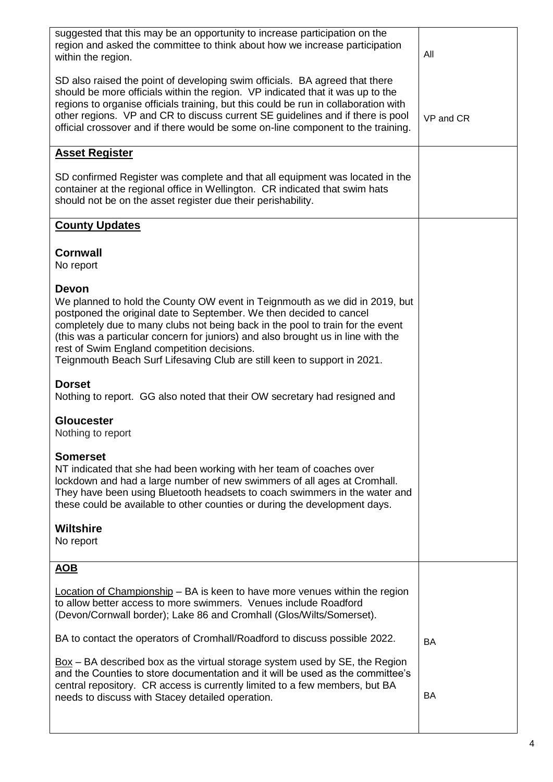| suggested that this may be an opportunity to increase participation on the<br>region and asked the committee to think about how we increase participation<br>within the region.                                                                                                                                                                                                                                                                                     | All       |
|---------------------------------------------------------------------------------------------------------------------------------------------------------------------------------------------------------------------------------------------------------------------------------------------------------------------------------------------------------------------------------------------------------------------------------------------------------------------|-----------|
| SD also raised the point of developing swim officials. BA agreed that there<br>should be more officials within the region. VP indicated that it was up to the<br>regions to organise officials training, but this could be run in collaboration with<br>other regions. VP and CR to discuss current SE guidelines and if there is pool<br>official crossover and if there would be some on-line component to the training.                                          | VP and CR |
| <b>Asset Register</b>                                                                                                                                                                                                                                                                                                                                                                                                                                               |           |
| SD confirmed Register was complete and that all equipment was located in the<br>container at the regional office in Wellington. CR indicated that swim hats<br>should not be on the asset register due their perishability.                                                                                                                                                                                                                                         |           |
| <b>County Updates</b>                                                                                                                                                                                                                                                                                                                                                                                                                                               |           |
| <b>Cornwall</b><br>No report                                                                                                                                                                                                                                                                                                                                                                                                                                        |           |
| <b>Devon</b><br>We planned to hold the County OW event in Teignmouth as we did in 2019, but<br>postponed the original date to September. We then decided to cancel<br>completely due to many clubs not being back in the pool to train for the event<br>(this was a particular concern for juniors) and also brought us in line with the<br>rest of Swim England competition decisions.<br>Teignmouth Beach Surf Lifesaving Club are still keen to support in 2021. |           |
| <b>Dorset</b><br>Nothing to report. GG also noted that their OW secretary had resigned and                                                                                                                                                                                                                                                                                                                                                                          |           |
| <b>Gloucester</b><br>Nothing to report                                                                                                                                                                                                                                                                                                                                                                                                                              |           |
| <b>Somerset</b><br>NT indicated that she had been working with her team of coaches over<br>lockdown and had a large number of new swimmers of all ages at Cromhall.<br>They have been using Bluetooth headsets to coach swimmers in the water and<br>these could be available to other counties or during the development days.<br><b>Wiltshire</b>                                                                                                                 |           |
| No report                                                                                                                                                                                                                                                                                                                                                                                                                                                           |           |
| <b>AOB</b>                                                                                                                                                                                                                                                                                                                                                                                                                                                          |           |
| Location of Championship – BA is keen to have more venues within the region<br>to allow better access to more swimmers. Venues include Roadford<br>(Devon/Cornwall border); Lake 86 and Cromhall (Glos/Wilts/Somerset).                                                                                                                                                                                                                                             |           |
| BA to contact the operators of Cromhall/Roadford to discuss possible 2022.                                                                                                                                                                                                                                                                                                                                                                                          | <b>BA</b> |
| $Box - BA$ described box as the virtual storage system used by SE, the Region<br>and the Counties to store documentation and it will be used as the committee's<br>central repository. CR access is currently limited to a few members, but BA<br>needs to discuss with Stacey detailed operation.                                                                                                                                                                  | BA        |
|                                                                                                                                                                                                                                                                                                                                                                                                                                                                     |           |